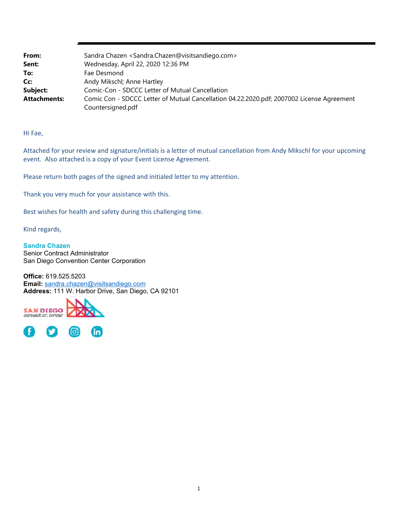| From:               | Sandra Chazen <sandra.chazen@visitsandiego.com></sandra.chazen@visitsandiego.com>         |
|---------------------|-------------------------------------------------------------------------------------------|
| Sent:               | Wednesday, April 22, 2020 12:36 PM                                                        |
| To:                 | Fae Desmond                                                                               |
| Cc:                 | Andy Mikschl; Anne Hartley                                                                |
| Subject:            | Comic-Con - SDCCC Letter of Mutual Cancellation                                           |
| <b>Attachments:</b> | Comic Con - SDCCC Letter of Mutual Cancellation 04.22.2020.pdf; 2007002 License Agreement |
|                     | Countersigned.pdf                                                                         |

Hi Fae,

Attached for your review and signature/initials is a letter of mutual cancellation from Andy Mikschl for your upcoming event. Also attached is a copy of your Event License Agreement.

Please return both pages of the signed and initialed letter to my attention.

Thank you very much for your assistance with this.

Best wishes for health and safety during this challenging time.

Kind regards,

**Sandra Chazen** Senior Contract Administrator San Diego Convention Center Corporation

**Office:** 619.525.5203 **Email:** sandra.chazen@visitsandiego.com **Address:** 111 W. Harbor Drive, San Diego, CA 92101

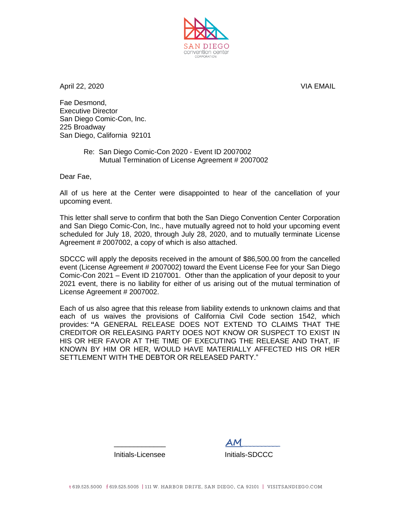

April 22, 2020 VIA EMAIL

Fae Desmond, Executive Director San Diego Comic-Con, Inc. 225 Broadway San Diego, California 92101

> Re: San Diego Comic-Con 2020 - Event ID 2007002 Mutual Termination of License Agreement # 2007002

Dear Fae,

All of us here at the Center were disappointed to hear of the cancellation of your upcoming event.

This letter shall serve to confirm that both the San Diego Convention Center Corporation and San Diego Comic-Con, Inc., have mutually agreed not to hold your upcoming event scheduled for July 18, 2020, through July 28, 2020, and to mutually terminate License Agreement # 2007002, a copy of which is also attached.

SDCCC will apply the deposits received in the amount of \$86,500.00 from the cancelled event (License Agreement # 2007002) toward the Event License Fee for your San Diego Comic-Con 2021 – Event ID 2107001. Other than the application of your deposit to your 2021 event, there is no liability for either of us arising out of the mutual termination of License Agreement # 2007002.

Each of us also agree that this release from liability extends to unknown claims and that each of us waives the provisions of California Civil Code section 1542, which provides: **"**A GENERAL RELEASE DOES NOT EXTEND TO CLAIMS THAT THE CREDITOR OR RELEASING PARTY DOES NOT KNOW OR SUSPECT TO EXIST IN HIS OR HER FAVOR AT THE TIME OF EXECUTING THE RELEASE AND THAT, IF KNOWN BY HIM OR HER, WOULD HAVE MATERIALLY AFFECTED HIS OR HER SETTI FMENT WITH THE DEBTOR OR RELEASED PARTY."

> \_\_\_\_\_\_\_\_\_\_\_\_\_ **AM\_\_\_\_\_\_\_\_\_\_** Initials-Licensee Initials-SDCCC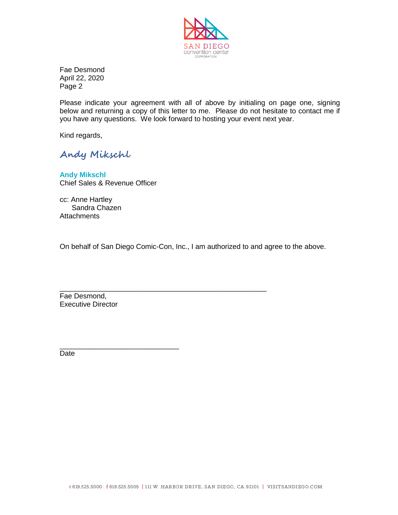

Fae Desmond April 22, 2020 Page 2

Please indicate your agreement with all of above by initialing on page one, signing below and returning a copy of this letter to me. Please do not hesitate to contact me if you have any questions. We look forward to hosting your event next year.

Kind regards,

**Andy Mikschl**

**Andy Mikschl** Chief Sales & Revenue Officer

cc: Anne Hartley Sandra Chazen **Attachments** 

On behalf of San Diego Comic-Con, Inc., I am authorized to and agree to the above.

\_\_\_\_\_\_\_\_\_\_\_\_\_\_\_\_\_\_\_\_\_\_\_\_\_\_\_\_\_\_\_\_\_\_\_\_\_\_\_\_\_\_\_\_\_\_\_\_\_\_\_\_

Fae Desmond, Executive Director

\_\_\_\_\_\_\_\_\_\_\_\_\_\_\_\_\_\_\_\_\_\_\_\_\_\_\_\_\_\_

Date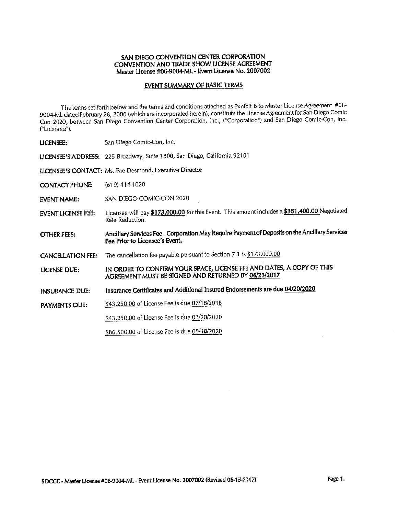## EVENT SUMMARY OF BASIC TERMS

The terms set forth below and the terms and conditions attached as Exhibit B to Master License Agreement #06-<br>9004-ML dated February 28, 2006 (which are incorporated herein), constitute the License Agreement for San Diego Con 2020, between San Diego Convention Center Corporation, Inc., ("Corporation") and San Diego Comic-Con, Inc. ("Licensee").

| LICENSEE:                 | San Diego Comic-Con, Inc.                                                                                                        |
|---------------------------|----------------------------------------------------------------------------------------------------------------------------------|
|                           | LICENSEE'S ADDRESS: 225 Broadway, Suite 1800, San Diego, California 92101                                                        |
|                           | LICENSEE'S CONTACT: Ms. Fae Desmond, Executive Director                                                                          |
| <b>CONTACT PHONE:</b>     | $(619)$ 414-1020                                                                                                                 |
| <b>EVENT NAME:</b>        | SAN DIEGO COMIC-CON 2020                                                                                                         |
| <b>EVENT LICENSE FEE:</b> | Licensee will pay \$173,000.00 for this Event. This amount includes a \$351,400.00 Negotiated<br>Rate Reduction.                 |
| OTHER FEES:               | Ancillary Services Fee - Corporation May Require Payment of Deposits on the Ancillary Services<br>Fee Prior to Licensee's Event. |
| <b>CANCELLATION FEE:</b>  | The cancellation fee payable pursuant to Section 7.1 is \$173,000.00                                                             |
| LICENSE DUE:              | IN ORDER TO CONFIRM YOUR SPACE, LICENSE FEE AND DATES, A COPY OF THIS<br>AGREEMENT MUST BE SIGNED AND RETURNED BY 06/23/2017     |
| INSURANCE DUE:            | Insurance Certificates and Additional Insured Endorsements are due 04/20/2020                                                    |
| PAYMENTS DUE:             | \$43,250.00 of License Fee is due 07/18/2018                                                                                     |
|                           | \$43,250.00 of License Fee is due 01/20/2020                                                                                     |
|                           | \$86,500.00 of License Fee is due 05/18/2020                                                                                     |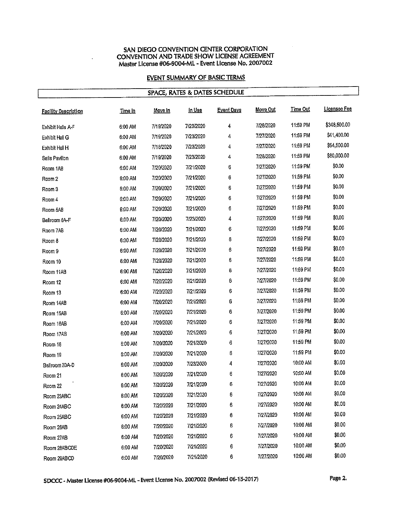# **EVENT SUMMARY OF BASIC TERMS**

| SPACE, RATES & DATES SCHEDULE |                |                |               |                   |           |                 |              |  |
|-------------------------------|----------------|----------------|---------------|-------------------|-----------|-----------------|--------------|--|
| <b>Facility Description</b>   | <u>Time In</u> | <u>Move In</u> | <u>In Use</u> | <b>Event Days</b> | Move Out  | <b>Time Out</b> | Licensee Fee |  |
| Exhibit Halls A-F             | 6:00 AM        | 7/19/2020      | 7/23/2020     | 4                 | 7/28/2020 | 11:59 PM        | \$348,500.00 |  |
| Exhibit Hall G                | 6:00 AM        | 7/19/2020      | 7/23/2020     | 4                 | 7/27/2020 | 11:59 PM        | \$41,400.00  |  |
| Exhibit Hall H                | 6:00 AM        | 7/18/2020      | 7/23/2020     | 4                 | 7/27/2020 | 11:59 PM        | \$54,500.00  |  |
| Sails Pavilion                | 6:00 AM        | 7/19/2020      | 7/23/2020     | 4                 | 7/28/2020 | 11:59 PM        | \$80,000.00  |  |
| Room 1AB                      | 6:00 AM        | 7/20/2020      | 7/21/2020     | 6                 | 7/27/2020 | 11:59 PM        | \$0.00       |  |
| Room 2                        | 6:00 AM        | 7/20/2020      | 7/21/2020     | 6                 | 7/27/2020 | 11:59 PM        | \$0.00       |  |
| Room 3                        | 6:00 AM        | 7/20/2020      | 7/21/2020     | 6                 | 7/27/2020 | 11:59 PM        | \$0.00       |  |
| Room 4                        | 6:00 AM        | 7/20/2020      | 7/21/2020     | 6                 | 7/27/2020 | 11:59 PM        | \$0.00       |  |
| Room 5AB                      | 6:00 AM        | 7/20/2020      | 7/21/2020     | 6                 | 7/27/2020 | 11:59 PM        | \$0.00       |  |
| Ballroom 6A-F                 | 6:00 AM        | 7/20/2020      | 7/23/2020     | 4                 | 7/27/2020 | 11:59 PM        | \$0,00       |  |
| Room 7AB                      | 6:00 AM        | 7/20/2020      | 7/21/2020     | 6                 | 7/27/2020 | 11:59 PM        | \$0.00       |  |
| Room 8                        | 6:00 AM        | 7/20/2020      | 7/21/2020     | 6                 | 7/27/2020 | 11:59 PM        | \$0.00       |  |
| Room 9                        | 6:00 AM        | 7/20/2020      | 7/21/2020     | 6                 | 7/27/2020 | 11:59 PM        | \$0.00       |  |
| Room 10                       | 6:00 AM        | 7/20/2020      | 7/21/2020     | 6                 | 7/27/2020 | 11:59 PM        | \$0.00       |  |
| Room 11AB                     | 6:00 AM        | 7/20/2020      | 7/21/2020     | 6                 | 7/27/2020 | 11:59 PM        | \$0.00       |  |
| Room 12                       | 6:00 AM        | 7/20/2020      | 7/21/2020     | 6                 | 7/27/2020 | 11:59 PM        | \$0.00       |  |
| Room 13                       | 6:00 AM        | 7/20/2020      | 7/21/2020     | 6                 | 7/27/2020 | 11:59 PM        | \$0.00       |  |
| Room 14AB                     | 6:00 AM        | 7/20/2020      | 7/21/2020     | 6                 | 7/27/2020 | 11:59 PM        | \$0.00       |  |
| Room 15AB                     | 6:00 AM        | 7/20/2020      | 7/21/2020     | 6                 | 7/27/2020 | 11:59 PM        | \$0.00       |  |
| Room 16AB                     | 6:00 AM        | 7/20/2020      | 7/21/2020     | 6                 | 7/27/2020 | 11:59 PM        | \$0.00       |  |
| Room 17AB                     | 6:00 AM        | 7/20/2020      | 7/21/2020     | 6                 | 7/27/2020 | 11:59 PM        | \$0.00       |  |
| Room 18                       | 6:00 AM        | 7/20/2020      | 7/21/2020     | 6                 | 7/27/2020 | 11:59 PM        | \$0.00       |  |
| Room 19                       | 6:00 AM        | 7/20/2020      | 7/21/2020     | 6                 | 7/27/2020 | 11:59 PM        | \$0.00       |  |
| Ballroom 20A-D                | 6:00 AM        | 7/20/2020      | 7/23/2020     | 4                 | 7/27/2020 | 10:00 AM        | \$0.00       |  |
| Room 21                       | 6:00 AM        | 7/20/2020      | 7/21/2020     | 6                 | 7/27/2020 | 10:00 AM        | \$0.00       |  |
| Room 22                       | 6:00 AM        | 7/20/2020      | 7/21/2020     | 6                 | 7/27/2020 | 10:00 AM        | \$0,00       |  |
| Room 23ABC                    | 6:00 AM        | 7/20/2020      | 7/21/2020     | 6                 | 7/27/2020 | 10:00 AM        | \$0,00       |  |
| Room 24ABC                    | 6:00 AM        | 7/20/2020      | 7/21/2020     | 6                 | 7/27/2020 | 10:00 AM        | \$0.00       |  |
| Room 25ABC                    | 6:00 AM        | 7/20/2020      | 7/21/2020     | 6                 | 7/27/2020 | 10:00 AM        | \$0.00       |  |
| Room 26AB                     | 6:00 AM        | 7/20/2020      | 7/21/2020     | 6                 | 7/27/2020 | 10:00 AM        | \$0.00       |  |
| Room 27AB                     | 6:00 AM        | 7/20/2020      | 7/21/2020     | 6                 | 7/27/2020 | 10:00 AM        | \$0.00       |  |
| Room 28ABCDE                  | 6:00 AM        | 7/20/2020      | 7/21/2020     | 6                 | 7/27/2020 | 10:00 AM        | \$0,00       |  |
| Room 29ABCD                   | 6:00 AM        | 7/20/2020      | 7/21/2020     | 6                 | 7/27/2020 | 10:00 AM        | \$0.00       |  |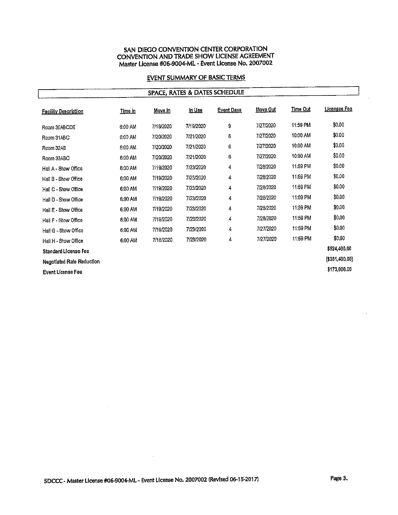# **EVENT SUMMARY OF BASIC TERMS**

# **SPACE, RATES & DATES SCHEDULE**

| <b>Facility Description</b>      | <u>Time In</u> | Move In   | <u>In Use</u> | <b>Event Days</b> | Move Out       | Time Out | <u> Licensee Fee</u> |
|----------------------------------|----------------|-----------|---------------|-------------------|----------------|----------|----------------------|
| Room 30ABCDE                     | 6:00 AM        | 7/18/2020 | 7/19/2020     | 9                 | 7/27/2020      | 11:59 PM | \$0,00               |
| Room 31ABC                       | 6:00 AM        | 7/20/2020 | 7/21/2020     | 6                 | 7/27/2020      | 10:00 AM | \$0.00               |
| Room 32AB                        | 6:00 AM        | 7/20/2020 | 7/21/2020     | 6                 | 7/27/2020      | 10:00 AM | \$0.00               |
| Room 33ABC                       | 6:00 AM        | 7/20/2020 | 7/21/2020     | 6                 | 7/27/2020      | 10:00 AM | \$0.00               |
| Hall A - Show Office             | 6:00 AM        | 7/19/2020 | 7/23/2020     | 4                 | 7/28/2020      | 11:59 PM | \$0.00               |
| Hall B - Show Office             | 6:00 AM        | 7/19/2020 | 7/23/2020     | 4                 | 7/28/2020      | 11:59 PM | \$0.00               |
| Hall C - Show Office             | 6:00 AM        | 7/19/2020 | 7/23/2020     | 4                 | 7/28/2020      | 11:59 PM | \$0.00               |
| Hall D - Show Office             | 6:00 AM        | 7/19/2020 | 7/23/2020     | 4                 | 7/28/2020      | 11:59 PM | \$0.00               |
| Hall E - Show Office             | 6:00 AM        | 7/19/2020 | 7/23/2020     | 4                 | 7/28/2020      | 11:59 PM | \$0.00               |
| Hall F - Show Office             | 6:00 AM        | 7/19/2020 | 7/23/2020     | 4                 | 7/28/2020      | 11:59 PM | \$0.00               |
| Hall G - Show Office             | 6:00 AM        | 7/19/2020 | 7/23/2020     | 4                 | 7/27/2020      | 11:59 PM | \$0.00               |
| Hali H - Show Office             | 6:00 AM        | 7/18/2020 | 7/23/2020     | 4                 | 7/27/2020      | 11:59 PM | \$0.00               |
| <b>Standard License Fee</b>      |                |           |               |                   |                |          | \$524,400.00         |
| <b>Negotlated Rate Reduction</b> |                |           |               |                   | (\$351,400.00) |          |                      |
| <b>Event License Fee</b>         |                |           |               |                   |                |          | \$173,000.00         |

 $\mathcal{A}$